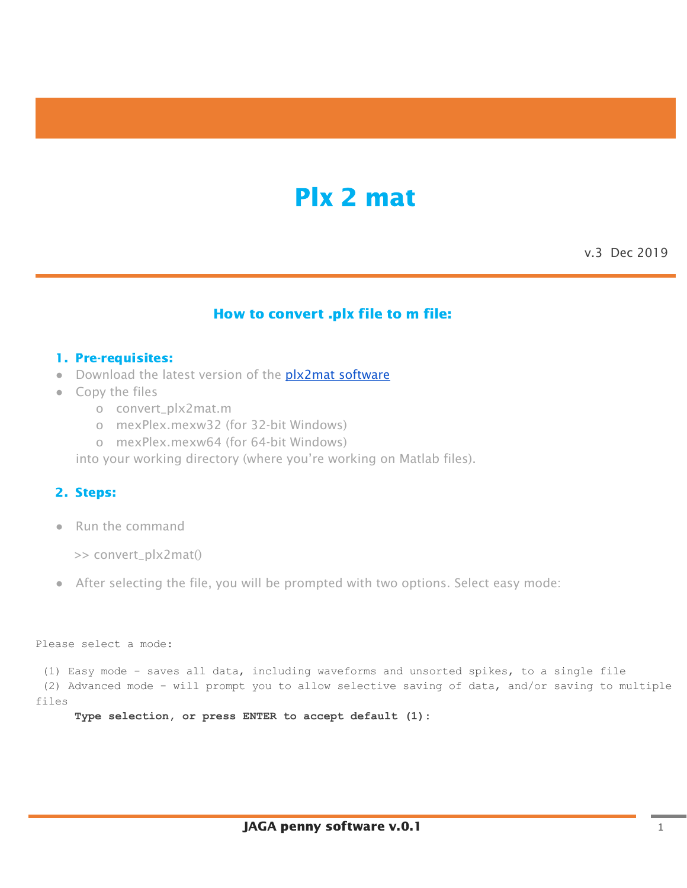# Plx 2 mat

v.3 Dec 2019

## How to convert .plx file to m file:

#### 1. Pre-requisites:

- Download the latest version of the **plx2mat [software](https://github.com/Jinga-hi/software_dist/raw/master/Plx%20to%20Matlab%20Converter.zip)**
- Copy the files
	- o convert\_plx2mat.m
	- o mexPlex.mexw32 (for 32-bit Windows)
	- o mexPlex.mexw64 (for 64-bit Windows)

into your working directory (where you're working on Matlab files).

#### 2. Steps:

● Run the command

>> convert\_plx2mat()

● After selecting the file, you will be prompted with two options. Select easy mode:

```
Please select a mode:
```
(1) Easy mode - saves all data, including waveforms and unsorted spikes, to a single file (2) Advanced mode - will prompt you to allow selective saving of data, and/or saving to multiple

files

**Type selection, or press ENTER to accept default (1):**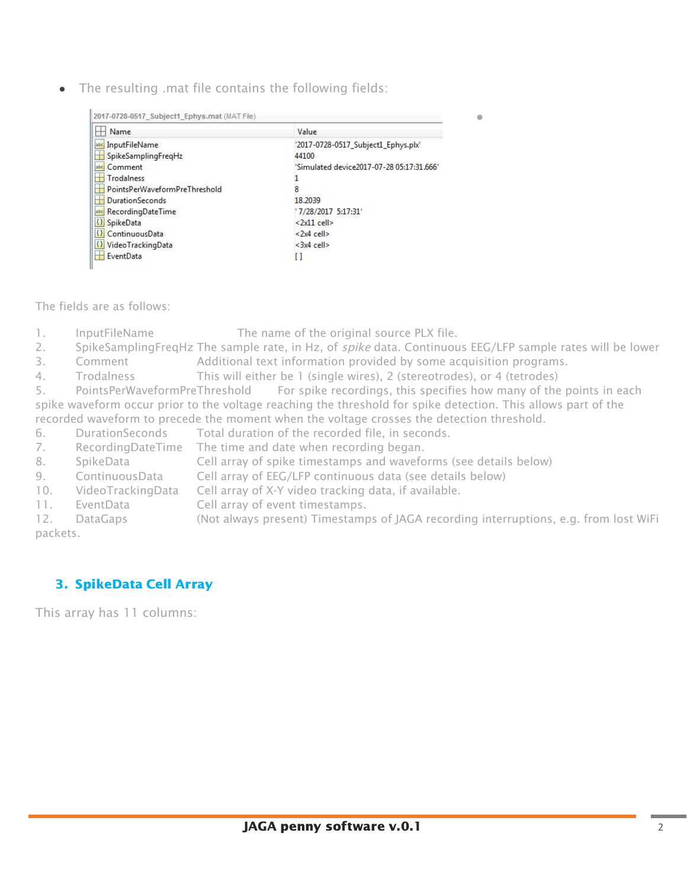• The resulting .mat file contains the following fields:

| 2017-0728-0517_Subject1_Ephys.mat (MAT File)          |                                           |
|-------------------------------------------------------|-------------------------------------------|
| Name                                                  | Value                                     |
| InputFileName<br>abc                                  | '2017-0728-0517_Subject1_Ephys.plx'       |
| H<br>SpikeSamplingFreqHz                              | 44100                                     |
| abc Comment                                           | 'Simulated device2017-07-28 05:17:31.666' |
| H<br><b>Trodalness</b>                                |                                           |
| PointsPerWaveformPreThreshold                         |                                           |
| DurationSeconds<br>Ħ                                  | 18.2039                                   |
| abc RecordingDateTime                                 | '7/28/2017 5:17:31'                       |
| $\{ \}$<br>SpikeData                                  | $\langle 2x11$ cell>                      |
| $\left  \left\{ {}\right\} \right $<br>ContinuousData | $<2x4$ cell>                              |
| <b>{}</b> VideoTrackingData                           | $<$ 3x4 cell>                             |
| EventData                                             |                                           |

The fields are as follows:

- 1. InputFileName The name of the original source PLX file.
- 2. SpikeSamplingFregHz The sample rate, in Hz, of *spike* data. Continuous EEG/LFP sample rates will be lower

●

- 3. Comment Additional text information provided by some acquisition programs.
- 4. Trodalness This will either be 1 (single wires), 2 (stereotrodes), or 4 (tetrodes)

5. PointsPerWaveformPreThreshold For spike recordings, this specifies how many of the points in each spike waveform occur prior to the voltage reaching the threshold for spike detection. This allows part of the recorded waveform to precede the moment when the voltage crosses the detection threshold.

- 6. DurationSeconds Total duration of the recorded file, in seconds.
- 7. RecordingDateTime The time and date when recording began.
- 8. SpikeData Cell array of spike timestamps and waveforms (see details below)
- 9. ContinuousData Cell array of EEG/LFP continuous data (see details below)
- 10. VideoTrackingData Cell array of X-Y video tracking data, if available.
- 11. EventData Cell array of event timestamps.
- 12. DataGaps (Not always present) Timestamps of JAGA recording interruptions, e.g. from lost WiFi packets.

# 3. SpikeData Cell Array

This array has 11 columns: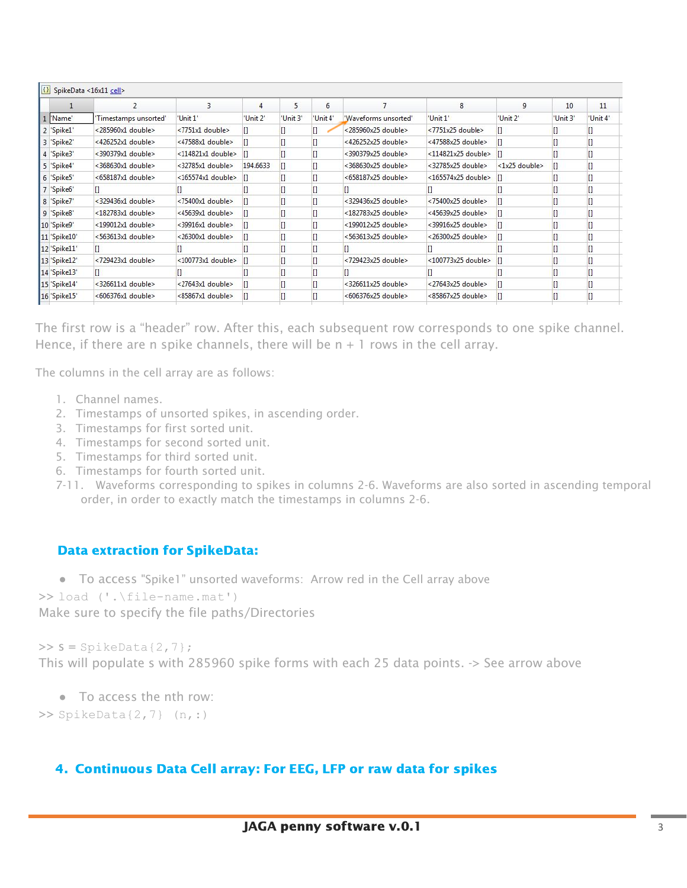|              |                         | 3                 | 4        | 5       | 6        |                       | 8                        | 9                                     | 10       | 11       |  |
|--------------|-------------------------|-------------------|----------|---------|----------|-----------------------|--------------------------|---------------------------------------|----------|----------|--|
| "Name"       | Timestamps unsorted'    | 'Unit 1"          | 'Unit 2' | Unit 3' | 'Unit 4" | 'Waveforms unsorted'  | 'Unit 1'                 | 'Unit 2'                              | 'Unit 3' | 'Unit 4' |  |
| 2 'Spike1'   | <285960x1 double>       | <7751x1 double>   |          |         |          | <285960x25 double>    | <7751x25 double>         |                                       |          |          |  |
| 3 'Spike2'   | <426252x1 double>       | <47588x1 double>  |          |         |          | <426252x25 double>    | <47588x25 double>        |                                       |          |          |  |
| 4 'Spike3'   | <390379x1 double>       | <114821x1 double> |          |         |          | <390379x25 double>    | <114821x25 double>       |                                       |          |          |  |
| 5 'Spike4'   | $<368630x1$ double>     | <32785x1 double>  | 194,6633 |         |          | $<$ 368630x25 double> | <32785x25 double>        | $\langle 1x25 \text{ double} \rangle$ | П        |          |  |
| 6 'Spike5'   | <658187x1 double>       | <165574x1 double> |          |         |          | <658187x25 double>    | $<$ 165574x25 double>    |                                       |          |          |  |
| 7 'Spike6'   |                         |                   |          |         |          |                       |                          |                                       |          |          |  |
| 8 'Spike7'   | <329436x1 double>       | <75400x1 double>  |          |         |          | <329436x25 double>    | $< 75400x25$ double>     |                                       |          |          |  |
| 9 'Spike8'   | <182783x1 double>       | <45639x1 double>  |          |         |          | <182783x25 double>    | <45639x25 double>        |                                       |          |          |  |
| 10 'Spike9'  | <199012x1 double>       | <39916x1 double>  |          |         |          | $<$ 199012x25 double> | $<$ 39916 $x$ 25 double> |                                       |          |          |  |
| 11 'Spike10' | <563613x1 double>       | <26300x1 double>  |          |         |          | <563613x25 double>    | <26300x25 double>        |                                       |          |          |  |
| 12 'Spike11' |                         |                   |          |         |          |                       |                          |                                       |          |          |  |
| 13 'Spike12' | $<$ 729423 $x1$ double> | <100773x1 double> |          |         |          | <729423x25 double>    | <100773x25 double>       |                                       | $\Box$   |          |  |
| 14 'Spike13' |                         |                   |          |         |          |                       |                          |                                       |          |          |  |
| 15 'Spike14' | <326611x1 double>       | <27643x1 double>  |          |         |          | <326611x25 double>    | <27643x25 double>        |                                       |          |          |  |
| 16 'Spike15' | <606376x1 double>       | <85867x1 double>  |          |         |          | <606376x25 double>    | <85867x25 double>        |                                       | $\Box$   |          |  |

The first row is a "header" row. After this, each subsequent row corresponds to one spike channel. Hence, if there are n spike channels, there will be  $n + 1$  rows in the cell array.

The columns in the cell array are as follows:

- 1. Channel names.
- 2. Timestamps of unsorted spikes, in ascending order.
- 3. Timestamps for first sorted unit.
- 4. Timestamps for second sorted unit.
- 5. Timestamps for third sorted unit.
- 6. Timestamps for fourth sorted unit.
- 7-11. Waveforms corresponding to spikes in columns 2-6. Waveforms are also sorted in ascending temporal order, in order to exactly match the timestamps in columns 2-6.

## Data extraction for SpikeData:

● To access "Spike1" unsorted waveforms: Arrow red in the Cell array above

```
>> load ('.\file-name.mat')
```
Make sure to specify the file paths/Directories

 $>> S = SpikeData{2,7};$ This will populate s with 285960 spike forms with each 25 data points. -> See arrow above

● To access the nth row:

 $\gg$  SpikeData{2,7} (n, :)

## 4. Continuous Data Cell array: For EEG, LFP or raw data for spikes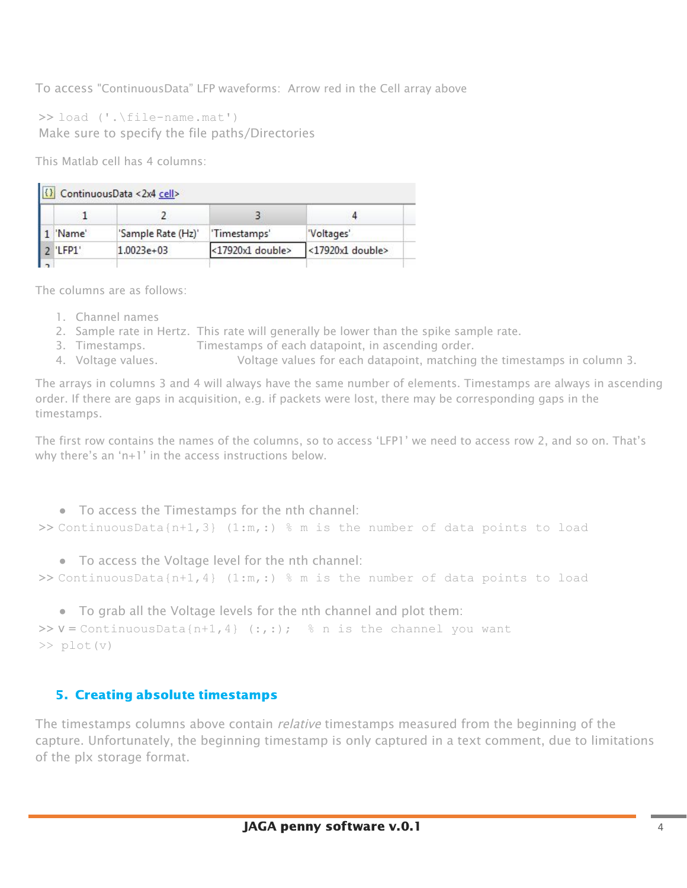To access "ContinuousData" LFP waveforms: Arrow red in the Cell array above

>> load ('.\file-name.mat') Make sure to specify the file paths/Directories

This Matlab cell has 4 columns:

|          | (1) ContinuousData <2x4 cell> |                  |                  |  |  |  |  |  |
|----------|-------------------------------|------------------|------------------|--|--|--|--|--|
|          |                               |                  |                  |  |  |  |  |  |
| 'Name'   | 'Sample Rate (Hz)'            | 'Timestamps'     | "Voltages"       |  |  |  |  |  |
| 2 'LFP1' | $1.0023e+03$                  | <17920x1 double> | <17920x1 double> |  |  |  |  |  |
|          |                               |                  |                  |  |  |  |  |  |

The columns are as follows:

- 1. Channel names
- 2. Sample rate in Hertz. This rate will generally be lower than the spike sample rate.
- 3. Timestamps. Timestamps of each datapoint, in ascending order.
- 4. Voltage values. Voltage values for each datapoint, matching the timestamps in column 3.

The arrays in columns 3 and 4 will always have the same number of elements. Timestamps are always in ascending order. If there are gaps in acquisition, e.g. if packets were lost, there may be corresponding gaps in the timestamps.

The first row contains the names of the columns, so to access 'LFP1' we need to access row 2, and so on. That's why there's an 'n+1' in the access instructions below.

● To access the Timestamps for the nth channel: >> ContinuousData{n+1,3} (1:m,:) % m is the number of data points to load

● To access the Voltage level for the nth channel:

>> ContinuousData{n+1,4} (1:m,:) % m is the number of data points to load

● To grab all the Voltage levels for the nth channel and plot them:

```
>>V =ContinuousData{n+1,4} (:,:); % n is the channel you want
>> plot(v)
```
## 5. Creating absolute timestamps

The timestamps columns above contain *relative* timestamps measured from the beginning of the capture. Unfortunately, the beginning timestamp is only captured in a text comment, due to limitations of the plx storage format.